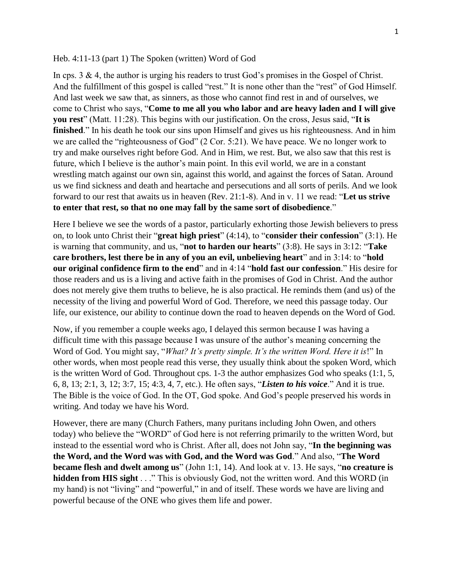## Heb. 4:11-13 (part 1) The Spoken (written) Word of God

In cps. 3 & 4, the author is urging his readers to trust God's promises in the Gospel of Christ. And the fulfillment of this gospel is called "rest." It is none other than the "rest" of God Himself. And last week we saw that, as sinners, as those who cannot find rest in and of ourselves, we come to Christ who says, "**Come to me all you who labor and are heavy laden and I will give you rest**" (Matt. 11:28). This begins with our justification. On the cross, Jesus said, "**It is finished**." In his death he took our sins upon Himself and gives us his righteousness. And in him we are called the "righteousness of God" (2 Cor. 5:21). We have peace. We no longer work to try and make ourselves right before God. And in Him, we rest. But, we also saw that this rest is future, which I believe is the author's main point. In this evil world, we are in a constant wrestling match against our own sin, against this world, and against the forces of Satan. Around us we find sickness and death and heartache and persecutions and all sorts of perils. And we look forward to our rest that awaits us in heaven (Rev. 21:1-8). And in v. 11 we read: "**Let us strive to enter that rest, so that no one may fall by the same sort of disobedience**."

Here I believe we see the words of a pastor, particularly exhorting those Jewish believers to press on, to look unto Christ their "**great high priest**" (4:14), to "**consider their confession**" (3:1). He is warning that community, and us, "**not to harden our hearts**" (3:8). He says in 3:12: "**Take care brothers, lest there be in any of you an evil, unbelieving heart**" and in 3:14: to "**hold our original confidence firm to the end**" and in 4:14 "**hold fast our confession**." His desire for those readers and us is a living and active faith in the promises of God in Christ. And the author does not merely give them truths to believe, he is also practical. He reminds them (and us) of the necessity of the living and powerful Word of God. Therefore, we need this passage today. Our life, our existence, our ability to continue down the road to heaven depends on the Word of God.

Now, if you remember a couple weeks ago, I delayed this sermon because I was having a difficult time with this passage because I was unsure of the author's meaning concerning the Word of God. You might say, "*What? It's pretty simple. It's the written Word. Here it is*!" In other words, when most people read this verse, they usually think about the spoken Word, which is the written Word of God. Throughout cps. 1-3 the author emphasizes God who speaks (1:1, 5, 6, 8, 13; 2:1, 3, 12; 3:7, 15; 4:3, 4, 7, etc.). He often says, "*Listen to his voice*." And it is true. The Bible is the voice of God. In the OT, God spoke. And God's people preserved his words in writing. And today we have his Word.

However, there are many (Church Fathers, many puritans including John Owen, and others today) who believe the "WORD" of God here is not referring primarily to the written Word, but instead to the essential word who is Christ. After all, does not John say, "**In the beginning was the Word, and the Word was with God, and the Word was God**." And also, "**The Word became flesh and dwelt among us**" (John 1:1, 14). And look at v. 13. He says, "**no creature is hidden from HIS sight** . . ." This is obviously God, not the written word. And this WORD (in my hand) is not "living" and "powerful," in and of itself. These words we have are living and powerful because of the ONE who gives them life and power.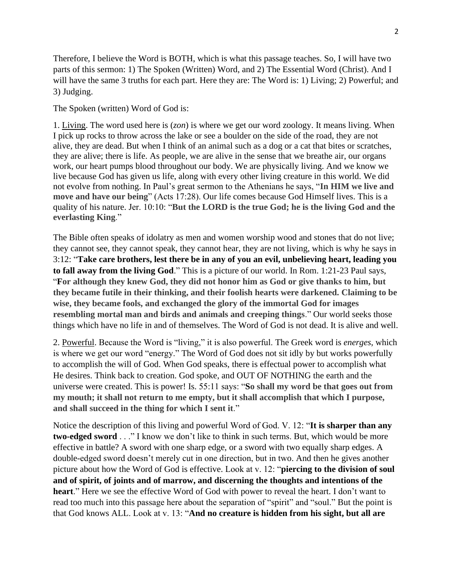Therefore, I believe the Word is BOTH, which is what this passage teaches. So, I will have two parts of this sermon: 1) The Spoken (Written) Word, and 2) The Essential Word (Christ). And I will have the same 3 truths for each part. Here they are: The Word is: 1) Living; 2) Powerful; and 3) Judging.

The Spoken (written) Word of God is:

1. Living. The word used here is (*zon*) is where we get our word zoology. It means living. When I pick up rocks to throw across the lake or see a boulder on the side of the road, they are not alive, they are dead. But when I think of an animal such as a dog or a cat that bites or scratches, they are alive; there is life. As people, we are alive in the sense that we breathe air, our organs work, our heart pumps blood throughout our body. We are physically living. And we know we live because God has given us life, along with every other living creature in this world. We did not evolve from nothing. In Paul's great sermon to the Athenians he says, "**In HIM we live and move and have our being**" (Acts 17:28). Our life comes because God Himself lives. This is a quality of his nature. Jer. 10:10: "**But the LORD is the true God; he is the living God and the everlasting King**."

The Bible often speaks of idolatry as men and women worship wood and stones that do not live; they cannot see, they cannot speak, they cannot hear, they are not living, which is why he says in 3:12: "**Take care brothers, lest there be in any of you an evil, unbelieving heart, leading you to fall away from the living God**." This is a picture of our world. In Rom. 1:21-23 Paul says, "**For although they knew God, they did not honor him as God or give thanks to him, but they became futile in their thinking, and their foolish hearts were darkened. Claiming to be wise, they became fools, and exchanged the glory of the immortal God for images resembling mortal man and birds and animals and creeping things**." Our world seeks those things which have no life in and of themselves. The Word of God is not dead. It is alive and well.

2. Powerful. Because the Word is "living," it is also powerful. The Greek word is *energes*, which is where we get our word "energy." The Word of God does not sit idly by but works powerfully to accomplish the will of God. When God speaks, there is effectual power to accomplish what He desires. Think back to creation. God spoke, and OUT OF NOTHING the earth and the universe were created. This is power! Is. 55:11 says: "**So shall my word be that goes out from my mouth; it shall not return to me empty, but it shall accomplish that which I purpose, and shall succeed in the thing for which I sent it**."

Notice the description of this living and powerful Word of God. V. 12: "**It is sharper than any two-edged sword** . . ." I know we don't like to think in such terms. But, which would be more effective in battle? A sword with one sharp edge, or a sword with two equally sharp edges. A double-edged sword doesn't merely cut in one direction, but in two. And then he gives another picture about how the Word of God is effective. Look at v. 12: "**piercing to the division of soul and of spirit, of joints and of marrow, and discerning the thoughts and intentions of the heart**." Here we see the effective Word of God with power to reveal the heart. I don't want to read too much into this passage here about the separation of "spirit" and "soul." But the point is that God knows ALL. Look at v. 13: "**And no creature is hidden from his sight, but all are**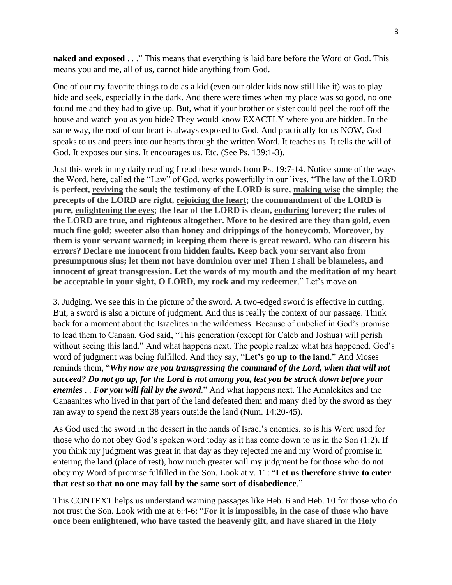**naked and exposed** . . ." This means that everything is laid bare before the Word of God. This means you and me, all of us, cannot hide anything from God.

One of our my favorite things to do as a kid (even our older kids now still like it) was to play hide and seek, especially in the dark. And there were times when my place was so good, no one found me and they had to give up. But, what if your brother or sister could peel the roof off the house and watch you as you hide? They would know EXACTLY where you are hidden. In the same way, the roof of our heart is always exposed to God. And practically for us NOW, God speaks to us and peers into our hearts through the written Word. It teaches us. It tells the will of God. It exposes our sins. It encourages us. Etc. (See Ps. 139:1-3).

Just this week in my daily reading I read these words from Ps. 19:7-14. Notice some of the ways the Word, here, called the "Law" of God, works powerfully in our lives. "**The law of the LORD is perfect, reviving the soul; the testimony of the LORD is sure, making wise the simple; the precepts of the LORD are right, rejoicing the heart; the commandment of the LORD is pure, enlightening the eyes; the fear of the LORD is clean, enduring forever; the rules of the LORD are true, and righteous altogether. More to be desired are they than gold, even much fine gold; sweeter also than honey and drippings of the honeycomb. Moreover, by them is your servant warned; in keeping them there is great reward. Who can discern his errors? Declare me innocent from hidden faults. Keep back your servant also from presumptuous sins; let them not have dominion over me! Then I shall be blameless, and innocent of great transgression. Let the words of my mouth and the meditation of my heart be acceptable in your sight, O LORD, my rock and my redeemer**." Let's move on.

3. Judging. We see this in the picture of the sword. A two-edged sword is effective in cutting. But, a sword is also a picture of judgment. And this is really the context of our passage. Think back for a moment about the Israelites in the wilderness. Because of unbelief in God's promise to lead them to Canaan, God said, "This generation (except for Caleb and Joshua) will perish without seeing this land." And what happens next. The people realize what has happened. God's word of judgment was being fulfilled. And they say, "**Let's go up to the land**." And Moses reminds them, "*Why now are you transgressing the command of the Lord, when that will not succeed? Do not go up, for the Lord is not among you, lest you be struck down before your enemies . . For you will fall by the sword.*" And what happens next. The Amalekites and the Canaanites who lived in that part of the land defeated them and many died by the sword as they ran away to spend the next 38 years outside the land (Num. 14:20-45).

As God used the sword in the dessert in the hands of Israel's enemies, so is his Word used for those who do not obey God's spoken word today as it has come down to us in the Son (1:2). If you think my judgment was great in that day as they rejected me and my Word of promise in entering the land (place of rest), how much greater will my judgment be for those who do not obey my Word of promise fulfilled in the Son. Look at v. 11: "**Let us therefore strive to enter that rest so that no one may fall by the same sort of disobedience**."

This CONTEXT helps us understand warning passages like Heb. 6 and Heb. 10 for those who do not trust the Son. Look with me at 6:4-6: "**For it is impossible, in the case of those who have once been enlightened, who have tasted the heavenly gift, and have shared in the Holy**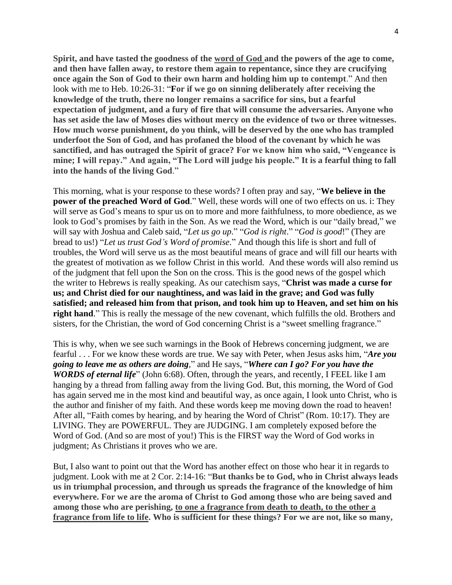**Spirit, and have tasted the goodness of the word of God and the powers of the age to come, and then have fallen away, to restore them again to repentance, since they are crucifying once again the Son of God to their own harm and holding him up to contempt**." And then look with me to Heb. 10:26-31: "**For if we go on sinning deliberately after receiving the knowledge of the truth, there no longer remains a sacrifice for sins, but a fearful expectation of judgment, and a fury of fire that will consume the adversaries. Anyone who has set aside the law of Moses dies without mercy on the evidence of two or three witnesses. How much worse punishment, do you think, will be deserved by the one who has trampled underfoot the Son of God, and has profaned the blood of the covenant by which he was sanctified, and has outraged the Spirit of grace? For we know him who said, "Vengeance is mine; I will repay." And again, "The Lord will judge his people." It is a fearful thing to fall into the hands of the living God**."

This morning, what is your response to these words? I often pray and say, "**We believe in the power of the preached Word of God.**" Well, these words will one of two effects on us. i: They will serve as God's means to spur us on to more and more faithfulness, to more obedience, as we look to God's promises by faith in the Son. As we read the Word, which is our "daily bread," we will say with Joshua and Caleb said, "*Let us go up*." "*God is right*." "*God is good*!" (They are bread to us!) "*Let us trust God's Word of promise*." And though this life is short and full of troubles, the Word will serve us as the most beautiful means of grace and will fill our hearts with the greatest of motivation as we follow Christ in this world. And these words will also remind us of the judgment that fell upon the Son on the cross. This is the good news of the gospel which the writer to Hebrews is really speaking. As our catechism says, "**Christ was made a curse for us; and Christ died for our naughtiness, and was laid in the grave; and God was fully satisfied; and released him from that prison, and took him up to Heaven, and set him on his right hand**." This is really the message of the new covenant, which fulfills the old. Brothers and sisters, for the Christian, the word of God concerning Christ is a "sweet smelling fragrance."

This is why, when we see such warnings in the Book of Hebrews concerning judgment, we are fearful . . . For we know these words are true. We say with Peter, when Jesus asks him, "*Are you going to leave me as others are doing*," and He says, "*Where can I go? For you have the WORDS of eternal life*" (John 6:68). Often, through the years, and recently, I FEEL like I am hanging by a thread from falling away from the living God. But, this morning, the Word of God has again served me in the most kind and beautiful way, as once again, I look unto Christ, who is the author and finisher of my faith. And these words keep me moving down the road to heaven! After all, "Faith comes by hearing, and by hearing the Word of Christ" (Rom. 10:17). They are LIVING. They are POWERFUL. They are JUDGING. I am completely exposed before the Word of God. (And so are most of you!) This is the FIRST way the Word of God works in judgment; As Christians it proves who we are.

But, I also want to point out that the Word has another effect on those who hear it in regards to judgment. Look with me at 2 Cor. 2:14-16: "**But thanks be to God, who in Christ always leads us in triumphal procession, and through us spreads the fragrance of the knowledge of him everywhere. For we are the aroma of Christ to God among those who are being saved and among those who are perishing, to one a fragrance from death to death, to the other a fragrance from life to life. Who is sufficient for these things? For we are not, like so many,**